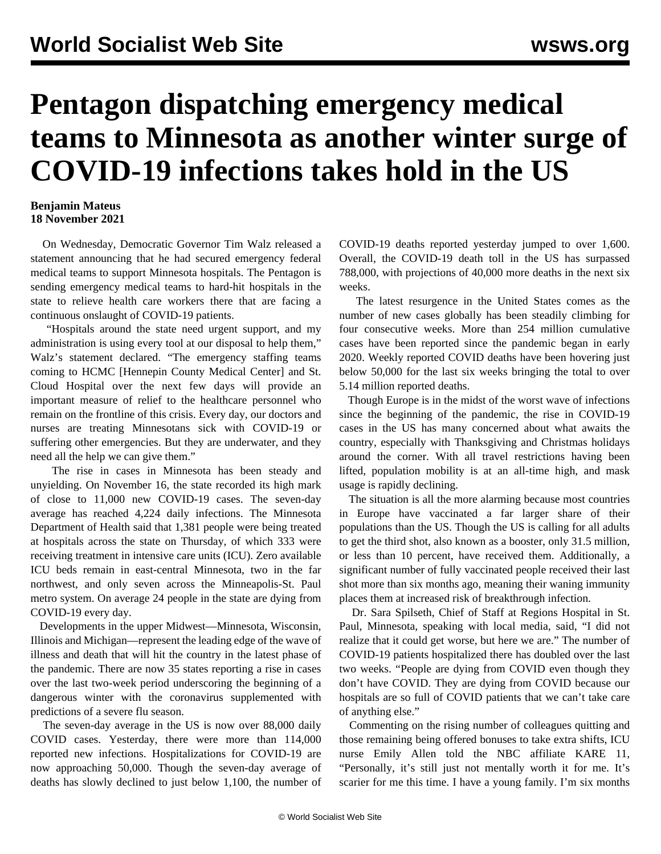## **Pentagon dispatching emergency medical teams to Minnesota as another winter surge of COVID-19 infections takes hold in the US**

## **Benjamin Mateus 18 November 2021**

 On Wednesday, Democratic Governor Tim Walz released a statement announcing that he had secured emergency federal medical teams to support Minnesota hospitals. The Pentagon is sending emergency medical teams to hard-hit hospitals in the state to relieve health care workers there that are facing a continuous onslaught of COVID-19 patients.

 "Hospitals around the state need urgent support, and my administration is using every tool at our disposal to help them," Walz's statement declared. "The emergency staffing teams coming to HCMC [Hennepin County Medical Center] and St. Cloud Hospital over the next few days will provide an important measure of relief to the healthcare personnel who remain on the frontline of this crisis. Every day, our doctors and nurses are treating Minnesotans sick with COVID-19 or suffering other emergencies. But they are underwater, and they need all the help we can give them."

 The rise in cases in Minnesota has been steady and unyielding. On November 16, the state recorded its high mark of close to 11,000 new COVID-19 cases. The seven-day average has reached 4,224 daily infections. The Minnesota Department of Health said that 1,381 people were being treated at hospitals across the state on Thursday, of which 333 were receiving treatment in intensive care units (ICU). Zero available ICU beds remain in east-central Minnesota, two in the far northwest, and only seven across the Minneapolis-St. Paul metro system. On average 24 people in the state are dying from COVID-19 every day.

 Developments in the upper Midwest—Minnesota, Wisconsin, Illinois and Michigan—represent the leading edge of the wave of illness and death that will hit the country in the latest phase of the pandemic. There are now 35 states reporting a rise in cases over the last two-week period underscoring the beginning of a dangerous winter with the coronavirus supplemented with predictions of a severe flu season.

 The seven-day average in the US is now over 88,000 daily COVID cases. Yesterday, there were more than 114,000 reported new infections. Hospitalizations for COVID-19 are now approaching 50,000. Though the seven-day average of deaths has slowly declined to just below 1,100, the number of

COVID-19 deaths reported yesterday jumped to over 1,600. Overall, the COVID-19 death toll in the US has surpassed 788,000, with projections of 40,000 more deaths in the next six weeks.

 The latest resurgence in the United States comes as the number of new cases globally has been steadily climbing for four consecutive weeks. More than 254 million cumulative cases have been reported since the pandemic began in early 2020. Weekly reported COVID deaths have been hovering just below 50,000 for the last six weeks bringing the total to over 5.14 million reported deaths.

 Though Europe is in the midst of the worst wave of infections since the beginning of the pandemic, the rise in COVID-19 cases in the US has many concerned about what awaits the country, especially with Thanksgiving and Christmas holidays around the corner. With all travel restrictions having been lifted, population mobility is at an all-time high, and mask usage is rapidly declining.

 The situation is all the more alarming because most countries in Europe have vaccinated a far larger share of their populations than the US. Though the US is calling for all adults to get the third shot, also known as a booster, only 31.5 million, or less than 10 percent, have received them. Additionally, a significant number of fully vaccinated people received their last shot more than six months ago, meaning their waning immunity places them at increased risk of breakthrough infection.

 Dr. Sara Spilseth, Chief of Staff at Regions Hospital in St. Paul, Minnesota, speaking with local media, said, "I did not realize that it could get worse, but here we are." The number of COVID-19 patients hospitalized there has doubled over the last two weeks. "People are dying from COVID even though they don't have COVID. They are dying from COVID because our hospitals are so full of COVID patients that we can't take care of anything else."

 Commenting on the rising number of colleagues quitting and those remaining being offered bonuses to take extra shifts, ICU nurse Emily Allen told the NBC affiliate KARE 11, "Personally, it's still just not mentally worth it for me. It's scarier for me this time. I have a young family. I'm six months